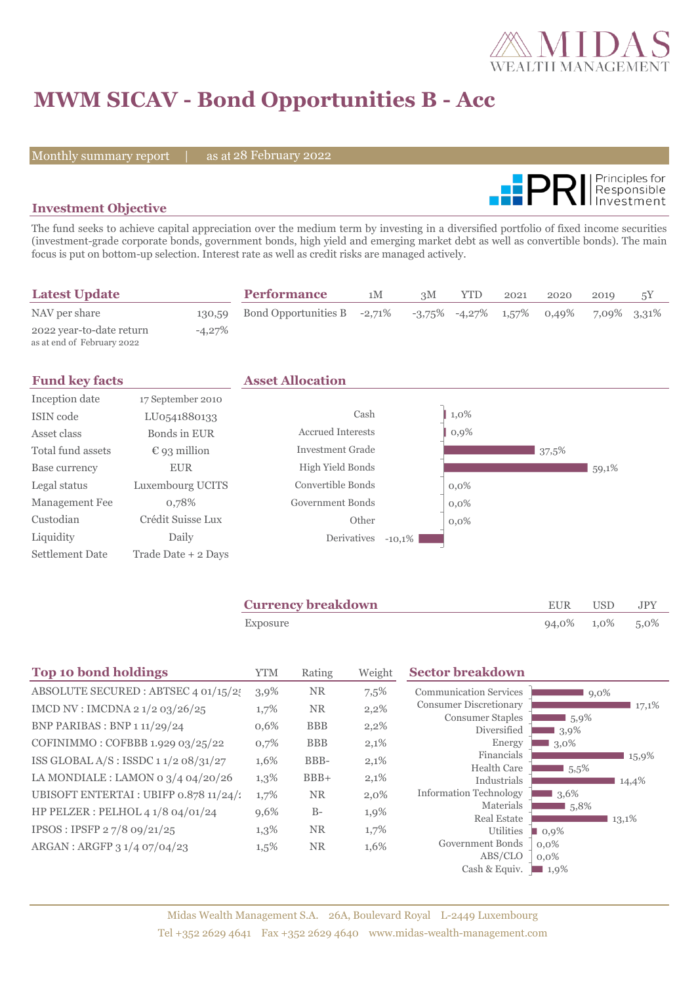

# **MWM SICAV - Bond Opportunities B - Acc**

Monthly summary report | as at 28 February 2022



### **Investment Objective**

The fund seeks to achieve capital appreciation over the medium term by investing in a diversified portfolio of fixed income securities (investment-grade corporate bonds, government bonds, high yield and emerging market debt as well as convertible bonds). The main focus is put on bottom-up selection. Interest rate as well as credit risks are managed actively.

| <b>Latest Update</b>                                   |           | <b>Performance</b>          | 1M | 3M | <b>YTD</b>                            | 2021 | 2020 | 2019        | 5Y |
|--------------------------------------------------------|-----------|-----------------------------|----|----|---------------------------------------|------|------|-------------|----|
| NAV per share                                          | 130,59    | Bond Opportunities B -2,71% |    |    | $-3,75\%$ $-4,27\%$ $1,57\%$ $0,49\%$ |      |      | 7,09% 3,31% |    |
| 2022 year-to-date return<br>as at end of February 2022 | $-4,27\%$ |                             |    |    |                                       |      |      |             |    |

| <b>Fund key facts</b>  |                       | <b>Asset Allocation</b>  |          |         |       |       |
|------------------------|-----------------------|--------------------------|----------|---------|-------|-------|
| Inception date         | 17 September 2010     |                          |          |         |       |       |
| ISIN code              | LU0541880133          | Cash                     |          | 1,0%    |       |       |
| Asset class            | Bonds in EUR          | <b>Accrued Interests</b> |          | $0,9\%$ |       |       |
| Total fund assets      | $\epsilon$ 93 million | <b>Investment Grade</b>  |          |         | 37,5% |       |
| Base currency          | <b>EUR</b>            | High Yield Bonds         |          |         |       | 59,1% |
| Legal status           | Luxembourg UCITS      | Convertible Bonds        |          | $0.0\%$ |       |       |
| Management Fee         | 0,78%                 | Government Bonds         |          | $0.0\%$ |       |       |
| Custodian              | Crédit Suisse Lux     | Other                    |          | $0.0\%$ |       |       |
| Liquidity              | Daily                 | Derivatives              | $-10,1%$ |         |       |       |
| <b>Settlement Date</b> | Trade Date + 2 Days   |                          |          |         |       |       |

| <b>Currency breakdown</b> | EUR USD         | <b>JPY</b> |
|---------------------------|-----------------|------------|
| Exposure                  | 94,0% 1,0% 5,0% |            |

| <b>Top 10 bond holdings</b>            | <b>YTM</b> | Rating     | Weight  | <b>Sector breakdown</b>                |                      |       |
|----------------------------------------|------------|------------|---------|----------------------------------------|----------------------|-------|
| ABSOLUTE SECURED : ABTSEC 4 01/15/2    | 3,9%       | <b>NR</b>  | 7,5%    | <b>Communication Services</b>          | $9,0\%$              |       |
| IMCD NV : IMCDNA 2 1/2 03/26/25        | 1,7%       | <b>NR</b>  | 2,2%    | <b>Consumer Discretionary</b>          |                      | 17,1% |
| BNP PARIBAS : BNP 1 11/29/24           | 0,6%       | <b>BBB</b> | $2,2\%$ | <b>Consumer Staples</b><br>Diversified | 5,9%<br>$3,9\%$      |       |
| COFINIMMO: COFBBB 1.929 03/25/22       | 0,7%       | <b>BBB</b> | 2,1%    | Energy                                 | 3,0%                 |       |
| ISS GLOBAL A/S : ISSDC $11/208/31/27$  | 1,6%       | BBB-       | 2,1%    | Financials                             |                      | 15,9% |
| LA MONDIALE : LAMON 0 $3/4$ 04/20/26   | $1,3\%$    | $BBB+$     | 2,1%    | <b>Health Care</b><br>Industrials      | $5.5\%$              | 14,4% |
| UBISOFT ENTERTAI : UBIFP 0.878 11/24/1 | 1,7%       | <b>NR</b>  | $2,0\%$ | <b>Information Technology</b>          | 3,6%                 |       |
| HP PELZER : PELHOL 4 1/8 04/01/24      | 9,6%       | $B-$       | 1,9%    | Materials                              | 5,8%                 |       |
| IPSOS: IPSFP 27/8 09/21/25             | 1,3%       | <b>NR</b>  | 1,7%    | <b>Real Estate</b><br>Utilities        | 13,1%<br>$\Box$ 0.9% |       |
| ARGAN : ARGFP 3 1/4 07/04/23           | $1,5\%$    | <b>NR</b>  | 1,6%    | Government Bonds                       | $0.0\%$              |       |
|                                        |            |            |         | ABS/CLO                                | $0.0\%$              |       |
|                                        |            |            |         | Cash & Equiv.                          | $\blacksquare$ 1,9%  |       |